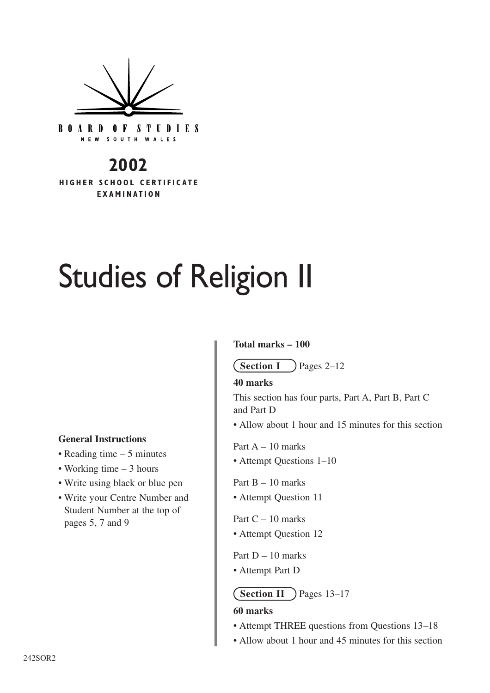

**BOARD OF STUDIES** NEW SOUTH WALES

## **2002**

**HIGHER SCHOOL CERTIFICATE EXAMINATION**

# Studies of Religion II

#### **Total marks – 100**

 $\overline{)}$  Pages 2–12 **Section I**

#### **40 marks**

This section has four parts, Part A, Part B, Part C and Part D

• Allow about 1 hour and 15 minutes for this section

Part  $A - 10$  marks

• Attempt Questions 1–10

Part B – 10 marks

• Attempt Question 11

Part  $C - 10$  marks

• Attempt Question 12

Part  $D = 10$  marks

• Attempt Part D

**Section II** ) Pages 13–17

#### **60 marks**

- Attempt THREE questions from Questions 13–18
- Allow about 1 hour and 45 minutes for this section

#### **General Instructions**

- Reading time 5 minutes
- Working time 3 hours
- Write using black or blue pen
- Write your Centre Number and Student Number at the top of pages 5, 7 and 9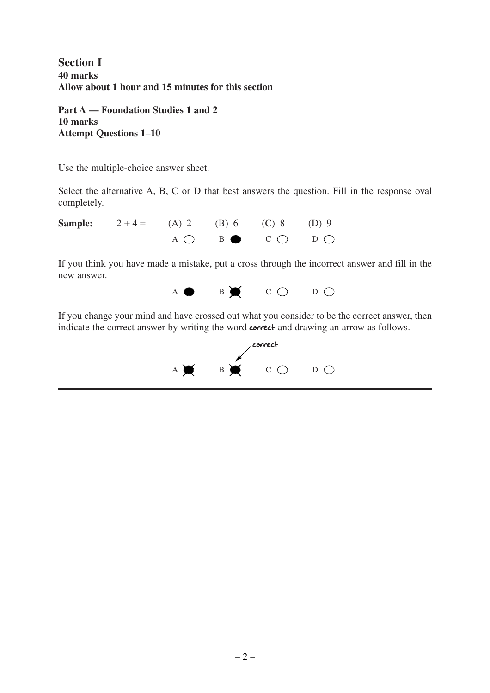**Section I 40 marks Allow about 1 hour and 15 minutes for this section**

**Part A — Foundation Studies 1 and 2 10 marks Attempt Questions 1–10**

Use the multiple-choice answer sheet.

Select the alternative A, B, C or D that best answers the question. Fill in the response oval completely.

| <b>Sample:</b> $2+4=$ (A) 2 (B) 6 (C) 8 (D) 9 |  |                                                     |  |
|-----------------------------------------------|--|-----------------------------------------------------|--|
|                                               |  | $A \bigcirc$ $B \bigcirc$ $C \bigcirc$ $D \bigcirc$ |  |

If you think you have made a mistake, put a cross through the incorrect answer and fill in the new answer.



If you change your mind and have crossed out what you consider to be the correct answer, then indicate the correct answer by writing the word **correct** and drawing an arrow as follows.

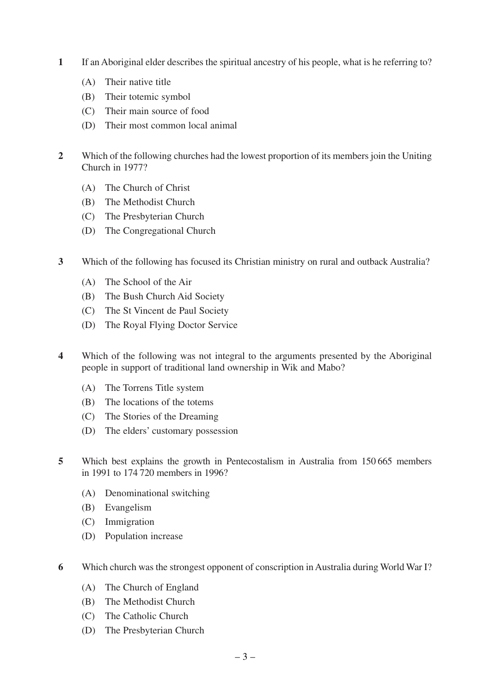- **1** If an Aboriginal elder describes the spiritual ancestry of his people, what is he referring to?
	- (A) Their native title
	- (B) Their totemic symbol
	- (C) Their main source of food
	- (D) Their most common local animal
- **2** Which of the following churches had the lowest proportion of its members join the Uniting Church in 1977?
	- (A) The Church of Christ
	- (B) The Methodist Church
	- (C) The Presbyterian Church
	- (D) The Congregational Church
- **3** Which of the following has focused its Christian ministry on rural and outback Australia?
	- (A) The School of the Air
	- (B) The Bush Church Aid Society
	- (C) The St Vincent de Paul Society
	- (D) The Royal Flying Doctor Service
- **4** Which of the following was not integral to the arguments presented by the Aboriginal people in support of traditional land ownership in Wik and Mabo?
	- (A) The Torrens Title system
	- (B) The locations of the totems
	- (C) The Stories of the Dreaming
	- (D) The elders' customary possession
- **5** Which best explains the growth in Pentecostalism in Australia from 150 665 members in 1991 to 174 720 members in 1996?
	- (A) Denominational switching
	- (B) Evangelism
	- (C) Immigration
	- (D) Population increase
- **6** Which church was the strongest opponent of conscription in Australia during World War I?
	- (A) The Church of England
	- (B) The Methodist Church
	- (C) The Catholic Church
	- (D) The Presbyterian Church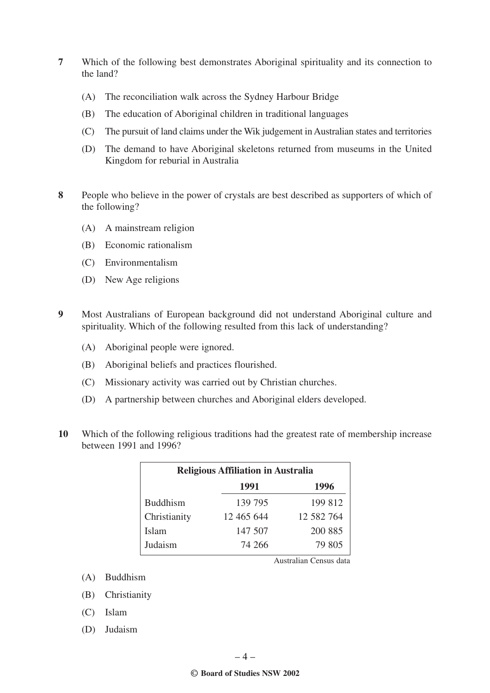- **7** Which of the following best demonstrates Aboriginal spirituality and its connection to the land?
	- (A) The reconciliation walk across the Sydney Harbour Bridge
	- (B) The education of Aboriginal children in traditional languages
	- (C) The pursuit of land claims under the Wik judgement in Australian states and territories
	- (D) The demand to have Aboriginal skeletons returned from museums in the United Kingdom for reburial in Australia
- **8** People who believe in the power of crystals are best described as supporters of which of the following?
	- (A) A mainstream religion
	- (B) Economic rationalism
	- (C) Environmentalism
	- (D) New Age religions
- **9** Most Australians of European background did not understand Aboriginal culture and spirituality. Which of the following resulted from this lack of understanding?
	- (A) Aboriginal people were ignored.
	- (B) Aboriginal beliefs and practices flourished.
	- (C) Missionary activity was carried out by Christian churches.
	- (D) A partnership between churches and Aboriginal elders developed.
- **10** Which of the following religious traditions had the greatest rate of membership increase between 1991 and 1996?

| <b>Religious Affiliation in Australia</b> |            |            |  |  |  |  |  |  |
|-------------------------------------------|------------|------------|--|--|--|--|--|--|
|                                           | 1991       | 1996       |  |  |  |  |  |  |
| <b>Buddhism</b>                           | 139 795    | 199 812    |  |  |  |  |  |  |
| Christianity                              | 12 465 644 | 12 582 764 |  |  |  |  |  |  |
| Islam                                     | 147 507    | 200 885    |  |  |  |  |  |  |
| Judaism                                   | 74 266     | 79 805     |  |  |  |  |  |  |

Australian Census data

- (A) Buddhism
- (B) Christianity
- (C) Islam
- (D) Judaism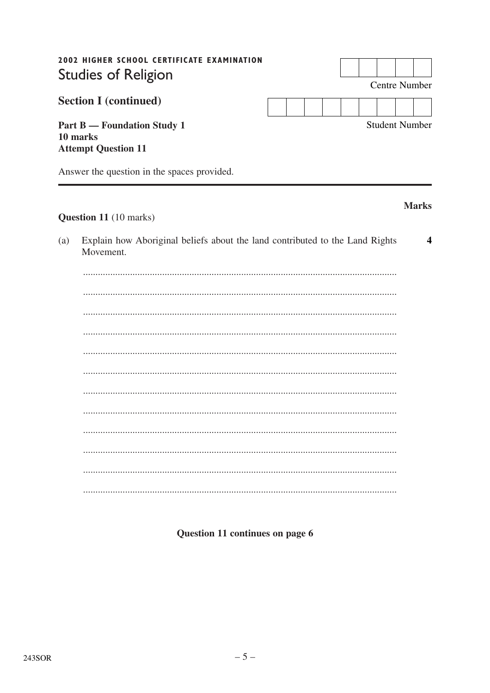|                                                                              | <b>2002 HIGHER SCHOOL CERTIFICATE EXAMINATION</b><br><b>Studies of Religion</b>           |  |  |  |  |  |  | <b>Centre Number</b>  |
|------------------------------------------------------------------------------|-------------------------------------------------------------------------------------------|--|--|--|--|--|--|-----------------------|
|                                                                              | <b>Section I (continued)</b>                                                              |  |  |  |  |  |  |                       |
| <b>Part B — Foundation Study 1</b><br>10 marks<br><b>Attempt Question 11</b> |                                                                                           |  |  |  |  |  |  | <b>Student Number</b> |
|                                                                              | Answer the question in the spaces provided.                                               |  |  |  |  |  |  |                       |
|                                                                              | Question 11 (10 marks)                                                                    |  |  |  |  |  |  | <b>Marks</b>          |
| (a)                                                                          | Explain how Aboriginal beliefs about the land contributed to the Land Rights<br>Movement. |  |  |  |  |  |  | $\boldsymbol{4}$      |
|                                                                              |                                                                                           |  |  |  |  |  |  |                       |
|                                                                              |                                                                                           |  |  |  |  |  |  |                       |
|                                                                              |                                                                                           |  |  |  |  |  |  |                       |
|                                                                              |                                                                                           |  |  |  |  |  |  |                       |
|                                                                              |                                                                                           |  |  |  |  |  |  |                       |
|                                                                              |                                                                                           |  |  |  |  |  |  |                       |
|                                                                              |                                                                                           |  |  |  |  |  |  |                       |
|                                                                              |                                                                                           |  |  |  |  |  |  |                       |
|                                                                              |                                                                                           |  |  |  |  |  |  |                       |
|                                                                              |                                                                                           |  |  |  |  |  |  |                       |
|                                                                              |                                                                                           |  |  |  |  |  |  |                       |
|                                                                              |                                                                                           |  |  |  |  |  |  |                       |

Question 11 continues on page 6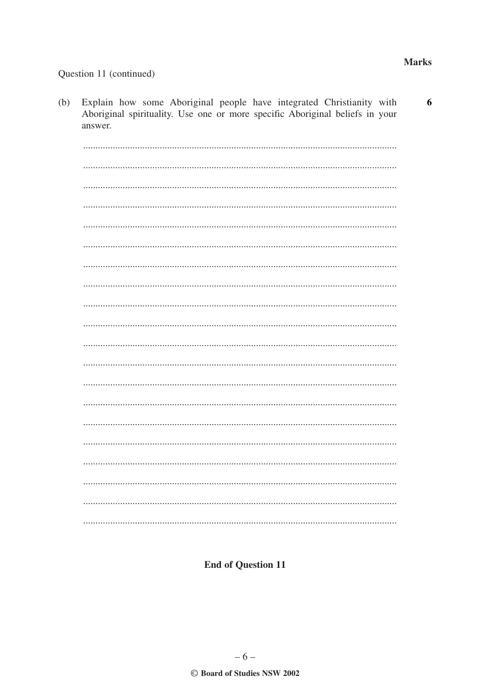Question 11 (continued)

answer.

 $(b)$ 

# Explain how some Aboriginal people have integrated Christianity with Aboriginal spirituality. Use one or more specific Aboriginal beliefs in your

**End of Question 11** 

# **Marks**

6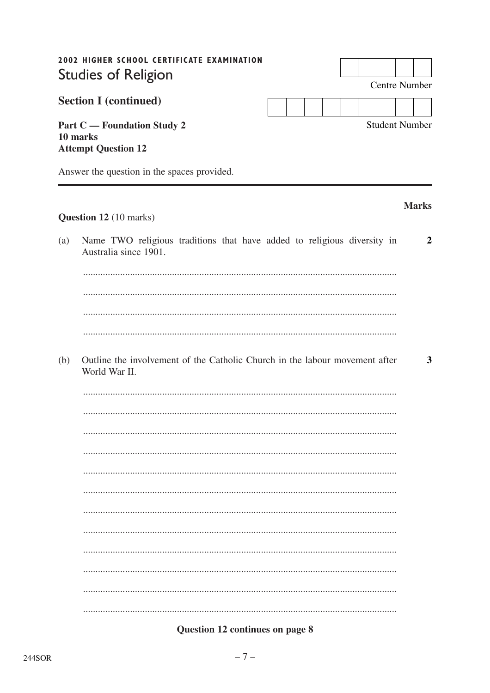| <b>Centre Number</b>                                                                        |
|---------------------------------------------------------------------------------------------|
|                                                                                             |
| <b>Student Number</b>                                                                       |
|                                                                                             |
| <b>Marks</b>                                                                                |
| Name TWO religious traditions that have added to religious diversity in<br>$\boldsymbol{2}$ |
| Outline the involvement of the Catholic Church in the labour movement after<br>3            |
|                                                                                             |

### Question 12 continues on page 8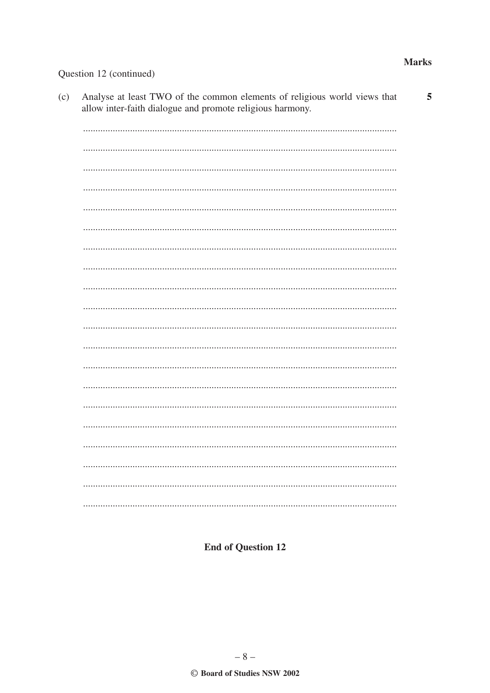Question 12 (continued)

**Marks** 

 $\overline{\mathbf{5}}$ 

|  |  |  | allow inter-faith dialogue and promote religious harmony. |  |
|--|--|--|-----------------------------------------------------------|--|
|  |  |  |                                                           |  |
|  |  |  |                                                           |  |
|  |  |  |                                                           |  |
|  |  |  |                                                           |  |
|  |  |  |                                                           |  |
|  |  |  |                                                           |  |
|  |  |  |                                                           |  |
|  |  |  |                                                           |  |
|  |  |  |                                                           |  |
|  |  |  |                                                           |  |
|  |  |  |                                                           |  |
|  |  |  |                                                           |  |
|  |  |  |                                                           |  |
|  |  |  |                                                           |  |
|  |  |  |                                                           |  |
|  |  |  |                                                           |  |
|  |  |  |                                                           |  |
|  |  |  |                                                           |  |
|  |  |  |                                                           |  |
|  |  |  |                                                           |  |
|  |  |  |                                                           |  |
|  |  |  |                                                           |  |
|  |  |  |                                                           |  |
|  |  |  |                                                           |  |
|  |  |  |                                                           |  |
|  |  |  |                                                           |  |
|  |  |  |                                                           |  |
|  |  |  |                                                           |  |

**End of Question 12**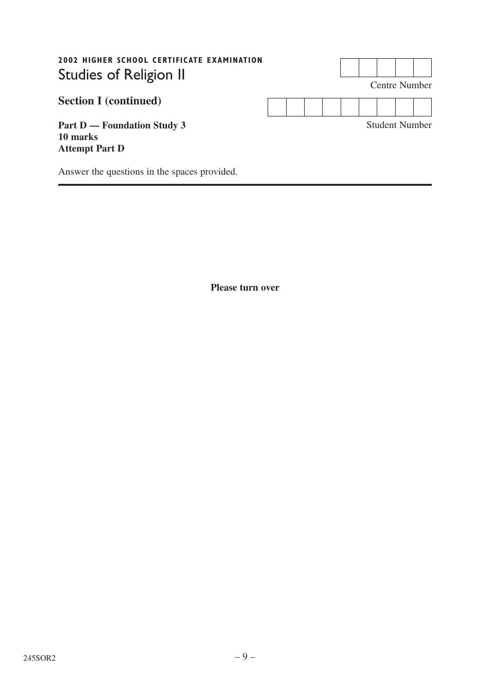| <b>2002 HIGHER SCHOOL CERTIFICATE EXAMINATION</b><br><b>Studies of Religion II</b> |  |  |  |  | <b>Centre Number</b>  |
|------------------------------------------------------------------------------------|--|--|--|--|-----------------------|
| <b>Section I</b> (continued)                                                       |  |  |  |  |                       |
| Part D — Foundation Study 3<br>10 marks<br><b>Attempt Part D</b>                   |  |  |  |  | <b>Student Number</b> |
| Answer the questions in the spaces provided.                                       |  |  |  |  |                       |

**Please turn over**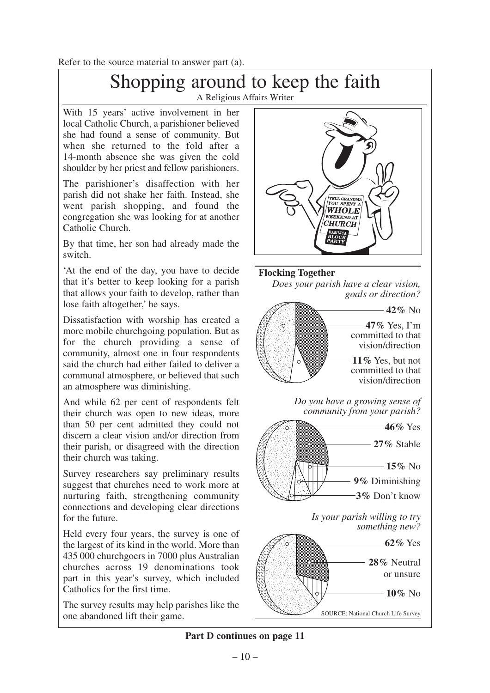Refer to the source material to answer part (a).

## Shopping around to keep the faith A Religious Affairs Writer

With 15 years' active involvement in her local Catholic Church, a parishioner believed she had found a sense of community. But when she returned to the fold after a 14-month absence she was given the cold shoulder by her priest and fellow parishioners.

The parishioner's disaffection with her parish did not shake her faith. Instead, she went parish shopping, and found the congregation she was looking for at another Catholic Church.

By that time, her son had already made the switch.

'At the end of the day, you have to decide that it's better to keep looking for a parish that allows your faith to develop, rather than lose faith altogether,' he says.

Dissatisfaction with worship has created a more mobile churchgoing population. But as for the church providing a sense of community, almost one in four respondents said the church had either failed to deliver a communal atmosphere, or believed that such an atmosphere was diminishing.

And while 62 per cent of respondents felt their church was open to new ideas, more than 50 per cent admitted they could not discern a clear vision and/or direction from their parish, or disagreed with the direction their church was taking.

Survey researchers say preliminary results suggest that churches need to work more at nurturing faith, strengthening community connections and developing clear directions for the future.

Held every four years, the survey is one of the largest of its kind in the world. More than 435 000 churchgoers in 7000 plus Australian churches across 19 denominations took part in this year's survey, which included Catholics for the first time.

The survey results may help parishes like the one abandoned lift their game.

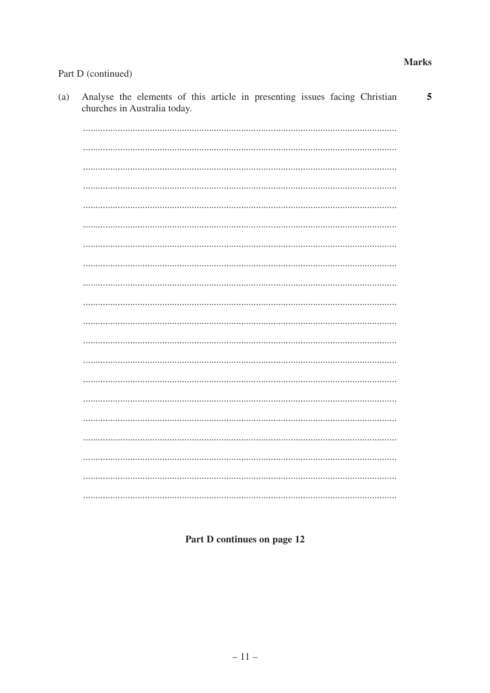**Marks** 

 $\overline{5}$ 

Part D (continued)

| (a) | Analyse the elements of this article in presenting issues facing Christian<br>churches in Australia today. |
|-----|------------------------------------------------------------------------------------------------------------|
|     |                                                                                                            |
|     |                                                                                                            |
|     |                                                                                                            |
|     |                                                                                                            |
|     |                                                                                                            |
|     |                                                                                                            |
|     |                                                                                                            |
|     |                                                                                                            |
|     |                                                                                                            |
|     |                                                                                                            |
|     |                                                                                                            |
|     |                                                                                                            |
|     |                                                                                                            |
|     |                                                                                                            |
|     |                                                                                                            |
|     |                                                                                                            |
|     |                                                                                                            |
|     |                                                                                                            |
|     |                                                                                                            |
|     |                                                                                                            |

Part D continues on page 12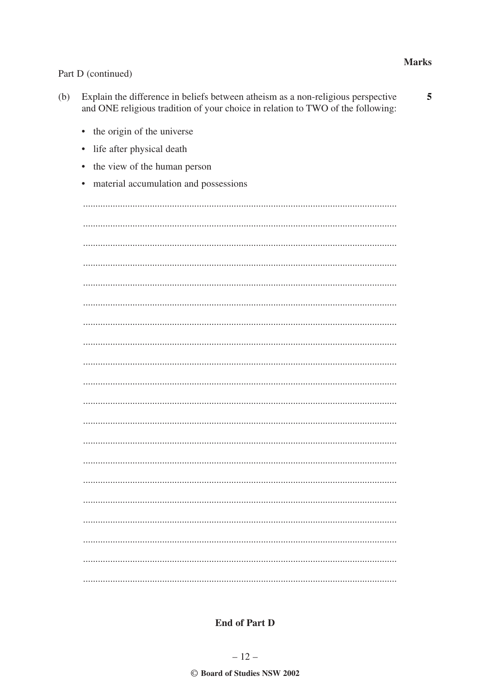Part D (continued)

- (b) Explain the difference in beliefs between atheism as a non-religious perspective 5 and ONE religious tradition of your choice in relation to TWO of the following:
	- the origin of the universe
	- life after physical death
	- the view of the human person
	- material accumulation and possessions

#### **End of Part D**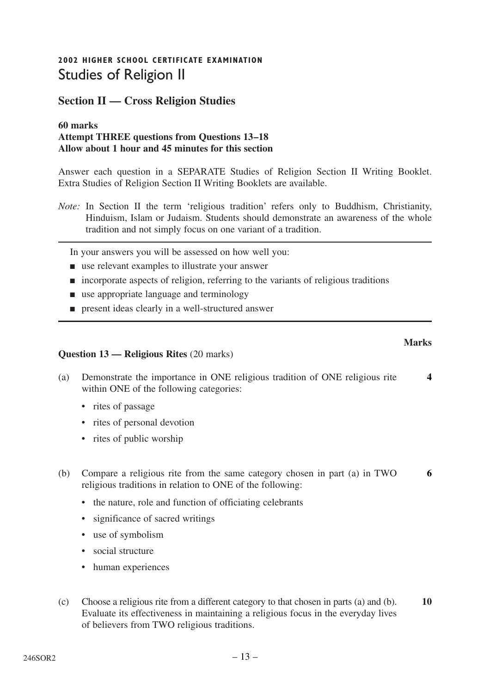### **2002 HIGHER SCHOOL CERTIFICATE EXAMINATION** Studies of Religion II

#### **Section II — Cross Religion Studies**

#### **60 marks Attempt THREE questions from Questions 13–18 Allow about 1 hour and 45 minutes for this section**

Answer each question in a SEPARATE Studies of Religion Section II Writing Booklet. Extra Studies of Religion Section II Writing Booklets are available.

*Note:* In Section II the term 'religious tradition' refers only to Buddhism, Christianity, Hinduism, Islam or Judaism. Students should demonstrate an awareness of the whole tradition and not simply focus on one variant of a tradition.

In your answers you will be assessed on how well you:

- use relevant examples to illustrate your answer
- incorporate aspects of religion, referring to the variants of religious traditions
- use appropriate language and terminology
- present ideas clearly in a well-structured answer

#### **Question 13 — Religious Rites** (20 marks)

(a) Demonstrate the importance in ONE religious tradition of ONE religious rite within ONE of the following categories: **4**

- rites of passage
- rites of personal devotion
- rites of public worship
- (b) Compare a religious rite from the same category chosen in part (a) in TWO religious traditions in relation to ONE of the following: **6**
	- the nature, role and function of officiating celebrants
	- significance of sacred writings
	- use of symbolism
	- social structure
	- human experiences
- (c) Choose a religious rite from a different category to that chosen in parts (a) and (b). Evaluate its effectiveness in maintaining a religious focus in the everyday lives of believers from TWO religious traditions. **10**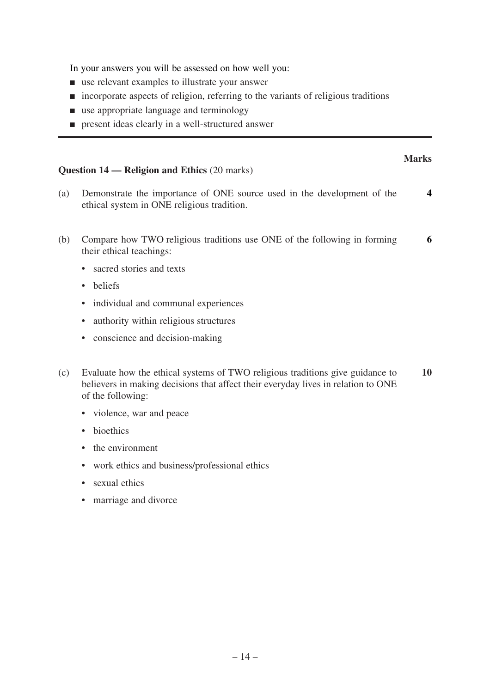In your answers you will be assessed on how well you:

- use relevant examples to illustrate your answer
- incorporate aspects of religion, referring to the variants of religious traditions
- use appropriate language and terminology
- present ideas clearly in a well-structured answer

#### **Question 14 — Religion and Ethics** (20 marks)

(a) Demonstrate the importance of ONE source used in the development of the ethical system in ONE religious tradition. **4**

- (b) Compare how TWO religious traditions use ONE of the following in forming their ethical teachings: **6**
	- sacred stories and texts
	- beliefs
	- individual and communal experiences
	- authority within religious structures
	- conscience and decision-making
- (c) Evaluate how the ethical systems of TWO religious traditions give guidance to believers in making decisions that affect their everyday lives in relation to ONE of the following: **10**
	- violence, war and peace
	- bioethics
	- the environment
	- work ethics and business/professional ethics
	- sexual ethics
	- marriage and divorce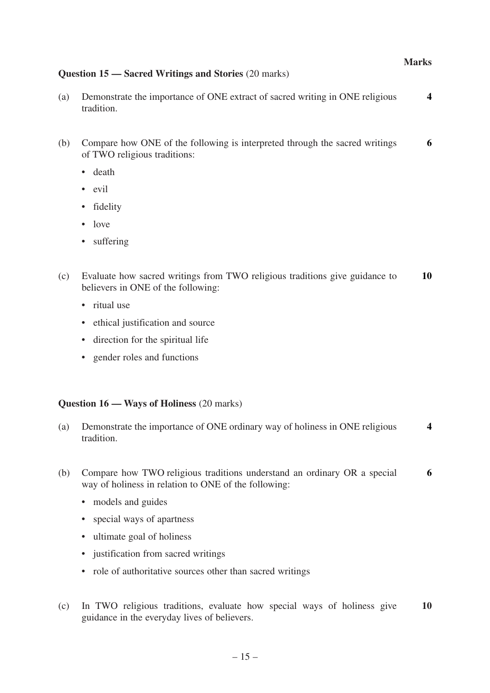**Question 15 — Sacred Writings and Stories** (20 marks) (a) Demonstrate the importance of ONE extract of sacred writing in ONE religious tradition. (b) Compare how ONE of the following is interpreted through the sacred writings of TWO religious traditions: • death • evil • fidelity • love • suffering (c) Evaluate how sacred writings from TWO religious traditions give guidance to believers in ONE of the following: • ritual use • ethical justification and source • direction for the spiritual life • gender roles and functions **Question 16 — Ways of Holiness** (20 marks) (a) Demonstrate the importance of ONE ordinary way of holiness in ONE religious tradition. (b) Compare how TWO religious traditions understand an ordinary OR a special way of holiness in relation to ONE of the following: • models and guides • special ways of apartness • ultimate goal of holiness • justification from sacred writings • role of authoritative sources other than sacred writings **6 4 10 6 4 Marks**

(c) In TWO religious traditions, evaluate how special ways of holiness give guidance in the everyday lives of believers. **10**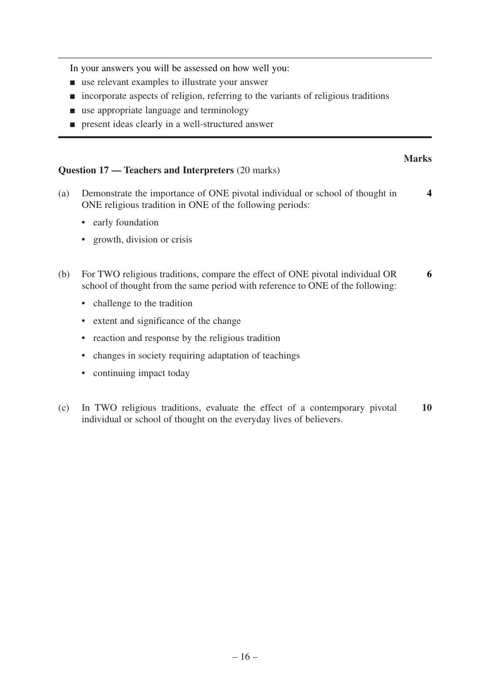In your answers you will be assessed on how well you:

- use relevant examples to illustrate your answer
- incorporate aspects of religion, referring to the variants of religious traditions
- use appropriate language and terminology
- present ideas clearly in a well-structured answer

#### **Question 17 — Teachers and Interpreters** (20 marks)

(a) Demonstrate the importance of ONE pivotal individual or school of thought in ONE religious tradition in ONE of the following periods: **4**

- early foundation
- growth, division or crisis
- (b) For TWO religious traditions, compare the effect of ONE pivotal individual OR school of thought from the same period with reference to ONE of the following: **6**
	- challenge to the tradition
	- extent and significance of the change
	- reaction and response by the religious tradition
	- changes in society requiring adaptation of teachings
	- continuing impact today
- (c) In TWO religious traditions, evaluate the effect of a contemporary pivotal individual or school of thought on the everyday lives of believers. **10**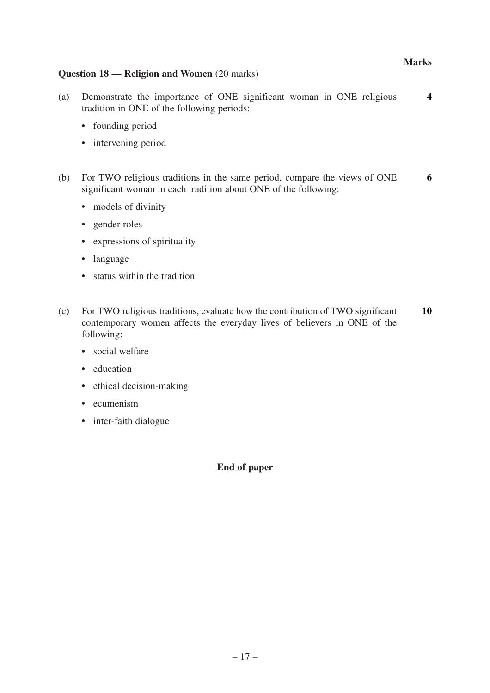#### **Question 18 — Religion and Women** (20 marks)

- (a) Demonstrate the importance of ONE significant woman in ONE religious tradition in ONE of the following periods: **4**
	- founding period
	- intervening period
- (b) For TWO religious traditions in the same period, compare the views of ONE significant woman in each tradition about ONE of the following: **6**
	- models of divinity
	- gender roles
	- expressions of spirituality
	- language
	- status within the tradition
- (c) For TWO religious traditions, evaluate how the contribution of TWO significant contemporary women affects the everyday lives of believers in ONE of the following: **10**
	- social welfare
	- education
	- ethical decision-making
	- ecumenism
	- inter-faith dialogue

#### **End of paper**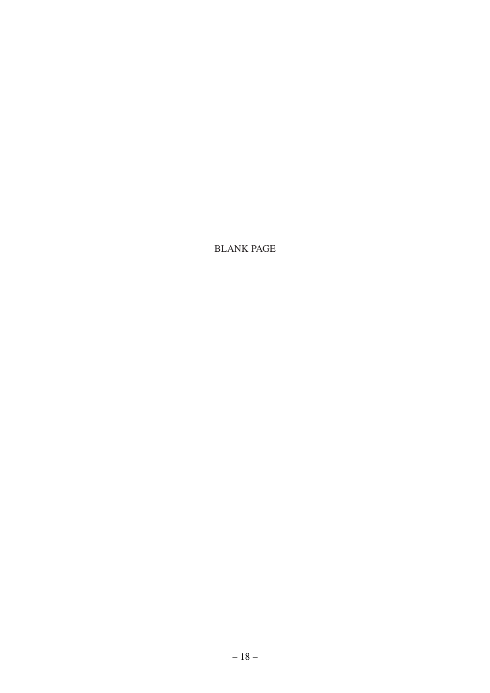**BLANK PAGE**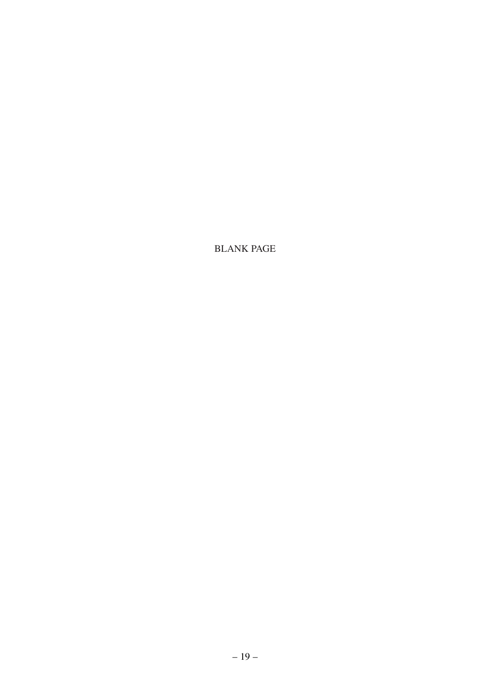**BLANK PAGE**